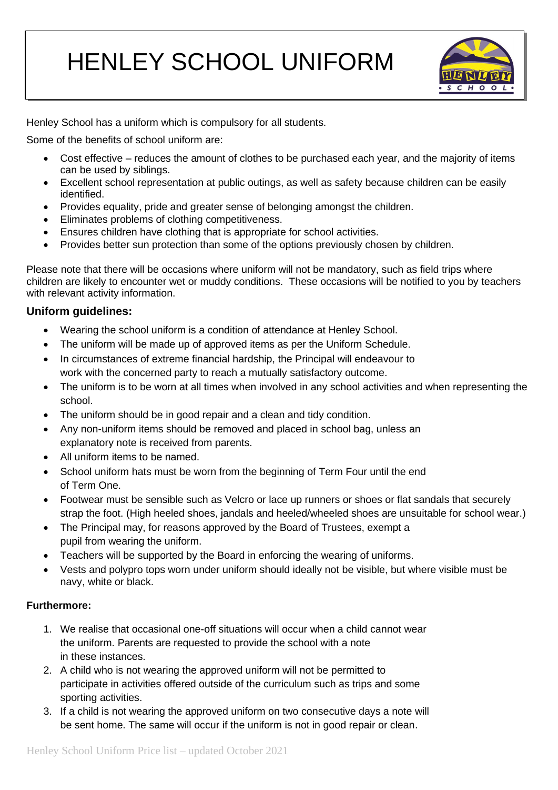# HENLEY SCHOOL UNIFORM



Henley School has a uniform which is compulsory for all students.

Some of the benefits of school uniform are:

- Cost effective reduces the amount of clothes to be purchased each year, and the majority of items can be used by siblings.
- Excellent school representation at public outings, as well as safety because children can be easily identified.
- Provides equality, pride and greater sense of belonging amongst the children.
- Eliminates problems of clothing competitiveness.
- Ensures children have clothing that is appropriate for school activities.
- Provides better sun protection than some of the options previously chosen by children.

Please note that there will be occasions where uniform will not be mandatory, such as field trips where children are likely to encounter wet or muddy conditions. These occasions will be notified to you by teachers with relevant activity information.

# **Uniform guidelines:**

- Wearing the school uniform is a condition of attendance at Henley School.
- The uniform will be made up of approved items as per the Uniform Schedule.
- In circumstances of extreme financial hardship, the Principal will endeavour to work with the concerned party to reach a mutually satisfactory outcome.
- The uniform is to be worn at all times when involved in any school activities and when representing the school.
- The uniform should be in good repair and a clean and tidy condition.
- Any non-uniform items should be removed and placed in school bag, unless an explanatory note is received from parents.
- All uniform items to be named.
- School uniform hats must be worn from the beginning of Term Four until the end of Term One.
- Footwear must be sensible such as Velcro or lace up runners or shoes or flat sandals that securely strap the foot. (High heeled shoes, jandals and heeled/wheeled shoes are unsuitable for school wear.)
- The Principal may, for reasons approved by the Board of Trustees, exempt a pupil from wearing the uniform.
- Teachers will be supported by the Board in enforcing the wearing of uniforms.
- Vests and polypro tops worn under uniform should ideally not be visible, but where visible must be navy, white or black.

# **Furthermore:**

- 1. We realise that occasional one-off situations will occur when a child cannot wear the uniform. Parents are requested to provide the school with a note in these instances.
- 2. A child who is not wearing the approved uniform will not be permitted to participate in activities offered outside of the curriculum such as trips and some sporting activities.
- 3. If a child is not wearing the approved uniform on two consecutive days a note will be sent home. The same will occur if the uniform is not in good repair or clean.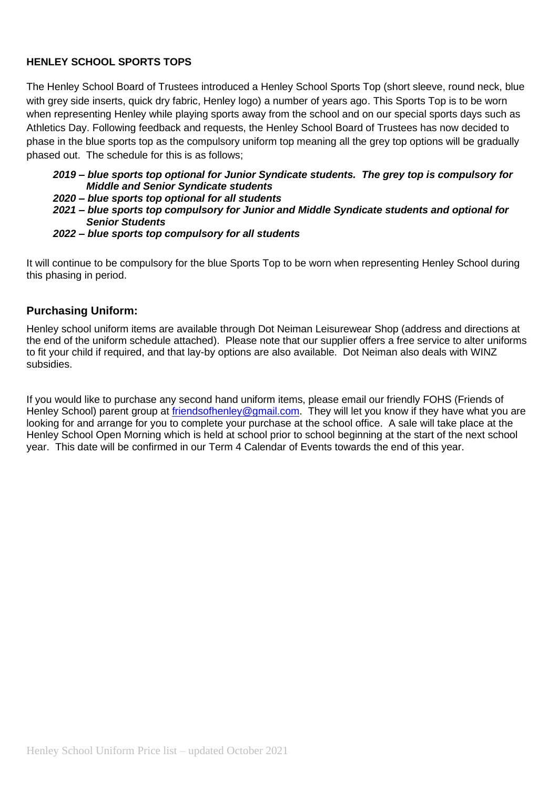# **HENLEY SCHOOL SPORTS TOPS**

The Henley School Board of Trustees introduced a Henley School Sports Top (short sleeve, round neck, blue with grey side inserts, quick dry fabric, Henley logo) a number of years ago. This Sports Top is to be worn when representing Henley while playing sports away from the school and on our special sports days such as Athletics Day. Following feedback and requests, the Henley School Board of Trustees has now decided to phase in the blue sports top as the compulsory uniform top meaning all the grey top options will be gradually phased out. The schedule for this is as follows;

#### *2019 – blue sports top optional for Junior Syndicate students. The grey top is compulsory for Middle and Senior Syndicate students*

- *2020 – blue sports top optional for all students*
- *2021 – blue sports top compulsory for Junior and Middle Syndicate students and optional for Senior Students*
- *2022 – blue sports top compulsory for all students*

It will continue to be compulsory for the blue Sports Top to be worn when representing Henley School during this phasing in period.

# **Purchasing Uniform:**

Henley school uniform items are available through Dot Neiman Leisurewear Shop (address and directions at the end of the uniform schedule attached). Please note that our supplier offers a free service to alter uniforms to fit your child if required, and that lay-by options are also available. Dot Neiman also deals with WINZ subsidies.

If you would like to purchase any second hand uniform items, please email our friendly FOHS (Friends of Henley School) parent group at [friendsofhenley@gmail.com.](mailto:friendsofhenley@gmail.com) They will let you know if they have what you are looking for and arrange for you to complete your purchase at the school office. A sale will take place at the Henley School Open Morning which is held at school prior to school beginning at the start of the next school year. This date will be confirmed in our Term 4 Calendar of Events towards the end of this year.